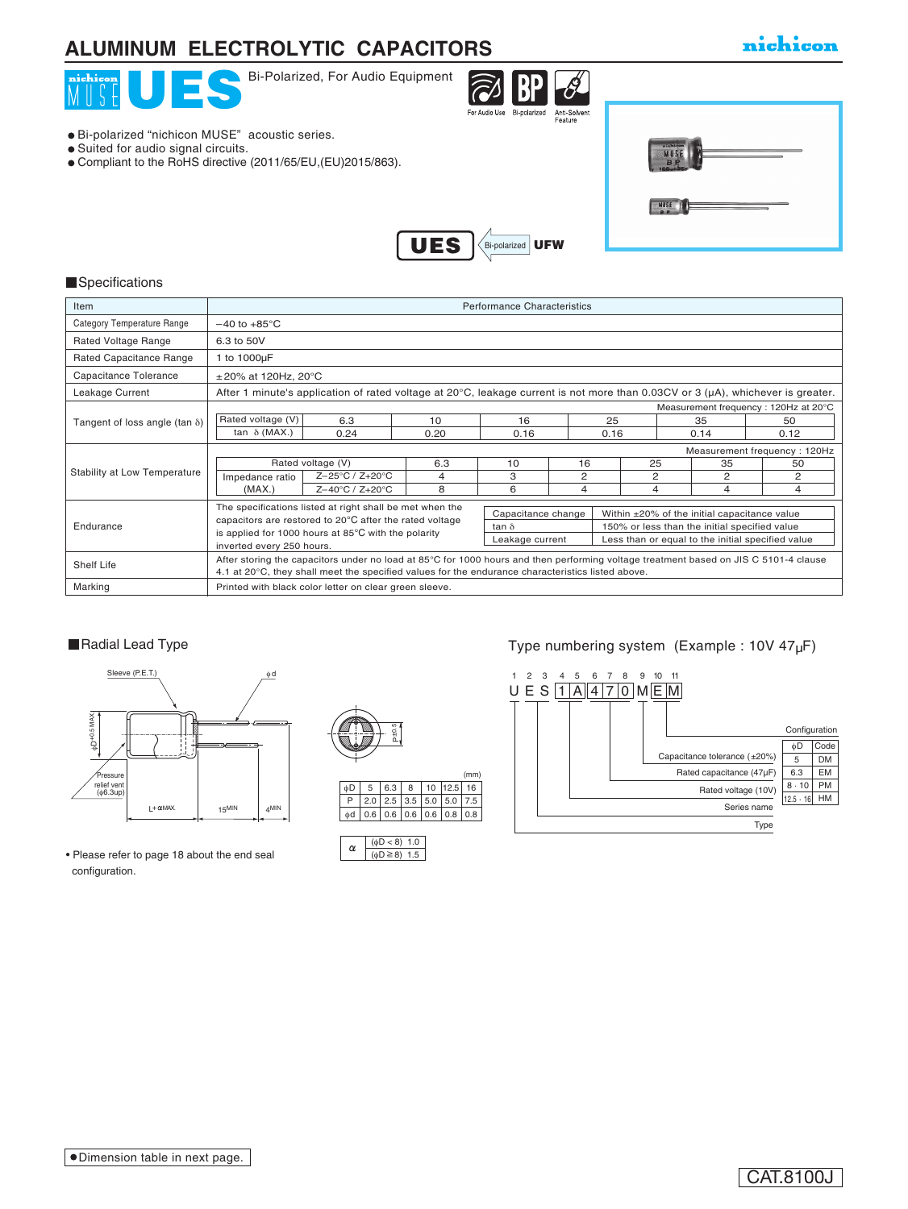## **ALUMINUM ELECTROLYTIC CAPACITORS**

### nichicon



#### **Specifications**

| Item                                  | <b>Performance Characteristics</b>                                                                                                                                                                                                        |                                                          |      |                    |    |                                                   |      |  |      |
|---------------------------------------|-------------------------------------------------------------------------------------------------------------------------------------------------------------------------------------------------------------------------------------------|----------------------------------------------------------|------|--------------------|----|---------------------------------------------------|------|--|------|
| Category Temperature Range            | $-40$ to $+85^{\circ}$ C                                                                                                                                                                                                                  |                                                          |      |                    |    |                                                   |      |  |      |
| Rated Voltage Range                   | 6.3 to 50V                                                                                                                                                                                                                                |                                                          |      |                    |    |                                                   |      |  |      |
| Rated Capacitance Range               | 1 to 1000µF                                                                                                                                                                                                                               |                                                          |      |                    |    |                                                   |      |  |      |
| Capacitance Tolerance                 | $\pm$ 20% at 120Hz, 20°C                                                                                                                                                                                                                  |                                                          |      |                    |    |                                                   |      |  |      |
| Leakage Current                       | After 1 minute's application of rated voltage at 20 $\degree$ C, leakage current is not more than 0.03CV or 3 ( $\mu$ A), whichever is greater.                                                                                           |                                                          |      |                    |    |                                                   |      |  |      |
|                                       | Measurement frequency: 120Hz at 20°C                                                                                                                                                                                                      |                                                          |      |                    |    |                                                   |      |  |      |
| Tangent of loss angle (tan $\delta$ ) | Rated voltage (V)                                                                                                                                                                                                                         | 6.3                                                      | 10   | 16                 |    | 25                                                | 35   |  | 50   |
|                                       | tan $\delta$ (MAX.)                                                                                                                                                                                                                       | 0.24                                                     | 0.20 | 0.16               |    | 0.16                                              | 0.14 |  | 0.12 |
|                                       | Measurement frequency: 120Hz                                                                                                                                                                                                              |                                                          |      |                    |    |                                                   |      |  |      |
| Stability at Low Temperature          | Rated voltage (V)                                                                                                                                                                                                                         |                                                          | 6.3  | 10                 | 16 | 25                                                | 35   |  | 50   |
|                                       | Impedance ratio                                                                                                                                                                                                                           | Z-25°C / Z+20°C                                          | 4    | 3                  | 2  | 2                                                 | 2    |  | 2    |
|                                       | (MAX.)                                                                                                                                                                                                                                    | $Z - 40^{\circ}C / Z + 20^{\circ}C$                      | 8    | 6                  | 4  | 4                                                 | 4    |  | 4    |
|                                       |                                                                                                                                                                                                                                           | The specifications listed at right shall be met when the |      |                    |    |                                                   |      |  |      |
|                                       | capacitors are restored to 20°C after the rated voltage<br>is applied for 1000 hours at $85^{\circ}$ C with the polarity<br>inverted every 250 hours.                                                                                     |                                                          |      | Capacitance change |    | Within ±20% of the initial capacitance value      |      |  |      |
| Endurance                             |                                                                                                                                                                                                                                           |                                                          |      | tan $\delta$       |    | 150% or less than the initial specified value     |      |  |      |
|                                       |                                                                                                                                                                                                                                           |                                                          |      | Leakage current    |    | Less than or equal to the initial specified value |      |  |      |
| Shelf Life                            | After storing the capacitors under no load at 85°C for 1000 hours and then performing voltage treatment based on JIS C 5101-4 clause<br>4.1 at 20°C, they shall meet the specified values for the endurance characteristics listed above. |                                                          |      |                    |    |                                                   |      |  |      |
| Marking                               | Printed with black color letter on clear green sleeve.                                                                                                                                                                                    |                                                          |      |                    |    |                                                   |      |  |      |



• Please refer to page 18 about the end seal configuration.





### ■Radial Lead Type Type numbering system (Example : 10V 47µF)

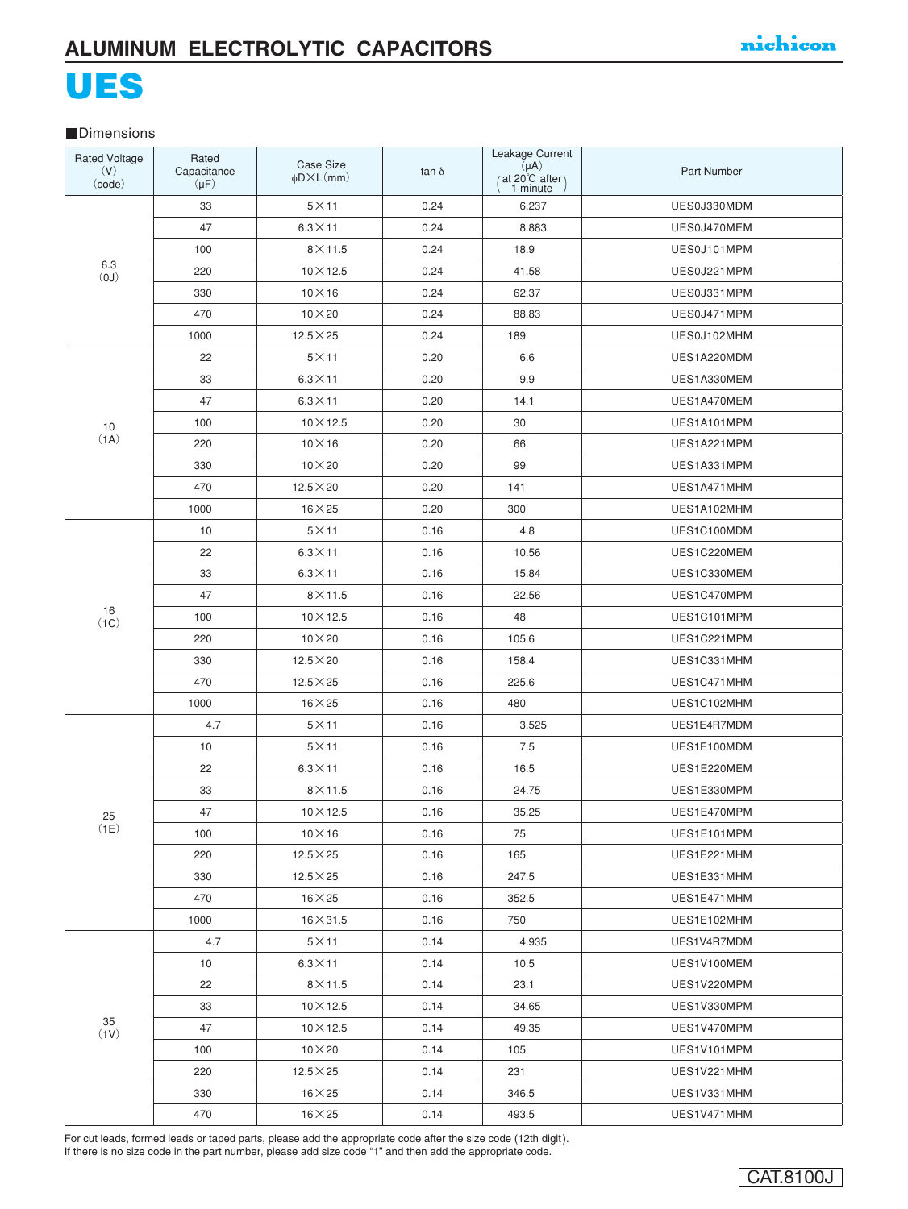# UES

#### **Dimensions**

| <b>Rated Voltage</b><br>(V)<br>(code) | Rated<br>Capacitance<br>$(\mu F)$ | Case Size<br>$\phi$ D $\times$ L $(mm)$ | $\tan \delta$ | Leakage Current<br>$(\mu A)$<br>(at 20 <sup>°</sup> C after)<br>1 minute | <b>Part Number</b> |
|---------------------------------------|-----------------------------------|-----------------------------------------|---------------|--------------------------------------------------------------------------|--------------------|
|                                       | 33                                | $5\times11$                             | 0.24          | 6.237                                                                    | UES0J330MDM        |
| 6.3<br>(0J)                           | 47                                | $6.3 \times 11$                         | 0.24          | 8.883                                                                    | UES0J470MEM        |
|                                       | 100                               | $8\times11.5$                           | 0.24          | 18.9                                                                     | UES0J101MPM        |
|                                       | 220                               | $10 \times 12.5$                        | 0.24          | 41.58                                                                    | UES0J221MPM        |
|                                       | 330                               | $10\times16$                            | 0.24          | 62.37                                                                    | UES0J331MPM        |
|                                       | 470                               | $10\times 20$                           | 0.24          | 88.83                                                                    | UES0J471MPM        |
|                                       | 1000                              | $12.5 \times 25$                        | 0.24          | 189                                                                      | UES0J102MHM        |
|                                       | 22                                | $5\times11$                             | 0.20          | 6.6                                                                      | UES1A220MDM        |
|                                       | 33                                | $6.3 \times 11$                         | 0.20          | 9.9                                                                      | UES1A330MEM        |
|                                       | 47                                | $6.3\times11$                           | 0.20          | 14.1                                                                     | UES1A470MEM        |
| 10                                    | 100                               | $10 \times 12.5$                        | 0.20          | 30                                                                       | UES1A101MPM        |
| (1A)                                  | 220                               | $10\times16$                            | 0.20          | 66                                                                       | UES1A221MPM        |
|                                       | 330                               | $10\times 20$                           | 0.20          | 99                                                                       | UES1A331MPM        |
|                                       | 470                               | $12.5 \times 20$                        | 0.20          | 141                                                                      | UES1A471MHM        |
|                                       | 1000                              | $16\times25$                            | 0.20          | 300                                                                      | UES1A102MHM        |
|                                       | 10                                | $5\times11$                             | 0.16          | 4.8                                                                      | UES1C100MDM        |
|                                       | 22                                | $6.3 \times 11$                         | 0.16          | 10.56                                                                    | UES1C220MEM        |
|                                       | 33                                | $6.3\times11$                           | 0.16          | 15.84                                                                    | UES1C330MEM        |
|                                       | 47                                | $8\times11.5$                           | 0.16          | 22.56                                                                    | UES1C470MPM        |
| 16<br>(1C)                            | 100                               | $10 \times 12.5$                        | 0.16          | 48                                                                       | UES1C101MPM        |
|                                       | 220                               | $10\times20$                            | 0.16          | 105.6                                                                    | UES1C221MPM        |
|                                       | 330                               | $12.5\times20$                          | 0.16          | 158.4                                                                    | UES1C331MHM        |
|                                       | 470                               | $12.5 \times 25$                        | 0.16          | 225.6                                                                    | UES1C471MHM        |
|                                       | 1000                              | $16\times25$                            | 0.16          | 480                                                                      | UES1C102MHM        |
|                                       | 4.7                               | $5\times11$                             | 0.16          | 3.525                                                                    | UES1E4R7MDM        |
|                                       | 10                                | $5\times11$                             | 0.16          | 7.5                                                                      | UES1E100MDM        |
|                                       | 22                                | $6.3\times11$                           | 0.16          | 16.5                                                                     | UES1E220MEM        |
|                                       | 33                                | $8\times$ 11.5                          | 0.16          | 24.75                                                                    | UES1E330MPM        |
| 25                                    | 47                                | $10\times12.5$                          | 0.16          | 35.25                                                                    | UES1E470MPM        |
| (1E)                                  | 100                               | $10 \times 16$                          | 0.16          | 75                                                                       | UES1E101MPM        |
|                                       | 220                               | $12.5\times25$                          | 0.16          | 165                                                                      | UES1E221MHM        |
|                                       | 330                               | $12.5\times 25$                         | 0.16          | 247.5                                                                    | UES1E331MHM        |
|                                       | 470                               | $16\times25$                            | 0.16          | 352.5                                                                    | UES1E471MHM        |
|                                       | 1000                              | $16\times31.5$                          | 0.16          | 750                                                                      | UES1E102MHM        |
|                                       | 4.7                               | $5\times11$                             | 0.14          | 4.935                                                                    | UES1V4R7MDM        |
| 35<br>(1V)                            | 10                                | $6.3 \times 11$                         | 0.14          | 10.5                                                                     | UES1V100MEM        |
|                                       | 22                                | $8\times$ 11.5                          | 0.14          | 23.1                                                                     | UES1V220MPM        |
|                                       | 33                                | $10\times 12.5$                         | 0.14          | 34.65                                                                    | UES1V330MPM        |
|                                       | 47                                | $10 \times 12.5$                        | 0.14          | 49.35                                                                    | UES1V470MPM        |
|                                       | 100                               | $10\times 20$                           | 0.14          | 105                                                                      | UES1V101MPM        |
|                                       | 220                               | $12.5\times25$                          | 0.14          | 231                                                                      | UES1V221MHM        |
|                                       | 330                               | $16\times25$                            | 0.14          | 346.5                                                                    | UES1V331MHM        |
|                                       | 470                               | $16\times25$                            | 0.14          | 493.5                                                                    | UES1V471MHM        |

For cut leads, formed leads or taped parts, please add the appropriate code after the size code (12th digit). If there is no size code in the part number, please add size code "1" and then add the appropriate code.

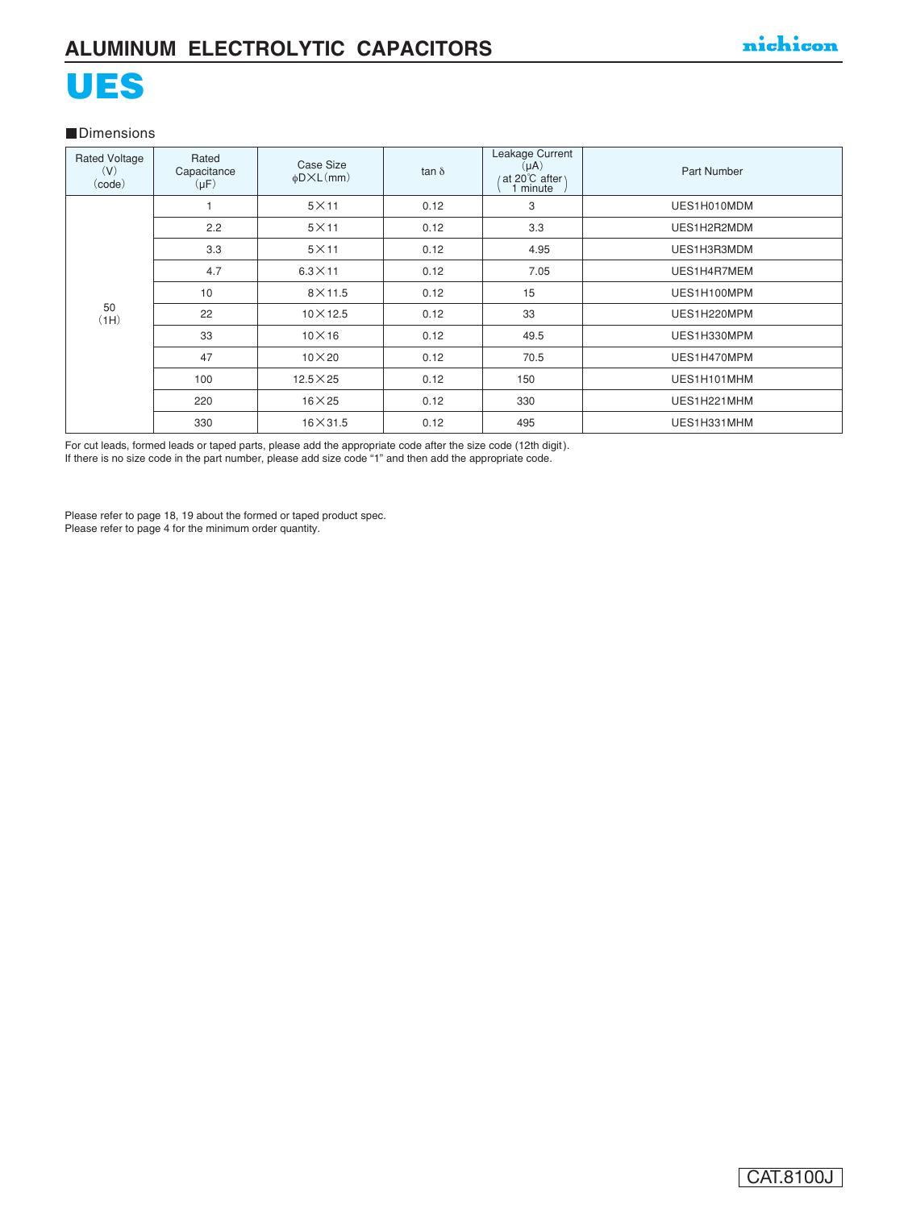# UES

#### **Dimensions**

| <b>Rated Voltage</b><br>(V)<br>(code) | Rated<br>Capacitance<br>$(\mu F)$ | Case Size<br>$\phi$ D $\times$ L $(mm)$ | $tan \delta$ | Leakage Current<br>$(\mu A)$<br>at 20°C after \<br>minute | Part Number |
|---------------------------------------|-----------------------------------|-----------------------------------------|--------------|-----------------------------------------------------------|-------------|
|                                       |                                   | $5\times11$                             | 0.12         | 3                                                         | UES1H010MDM |
|                                       | 2.2                               | $5\times11$                             | 0.12         | 3.3                                                       | UES1H2R2MDM |
|                                       | 3.3                               | $5\times11$                             | 0.12         | 4.95                                                      | UES1H3R3MDM |
|                                       | 4.7                               | $6.3 \times 11$                         | 0.12         | 7.05                                                      | UES1H4R7MEM |
|                                       | 10                                | $8\times$ 11.5                          | 0.12         | 15                                                        | UES1H100MPM |
| 50<br>(HH)                            | 22                                | $10\times12.5$                          | 0.12         | 33                                                        | UES1H220MPM |
|                                       | 33                                | $10\times16$                            | 0.12         | 49.5                                                      | UES1H330MPM |
|                                       | 47                                | $10\times 20$                           | 0.12         | 70.5                                                      | UES1H470MPM |
|                                       | 100                               | $12.5 \times 25$                        | 0.12         | 150                                                       | UES1H101MHM |
|                                       | 220                               | $16\times25$                            | 0.12         | 330                                                       | UES1H221MHM |
|                                       | 330                               | $16\times31.5$                          | 0.12         | 495                                                       | UES1H331MHM |

For cut leads, formed leads or taped parts, please add the appropriate code after the size code (12th digit).

If there is no size code in the part number, please add size code "1" and then add the appropriate code.

Please refer to page 18, 19 about the formed or taped product spec. Please refer to page 4 for the minimum order quantity.